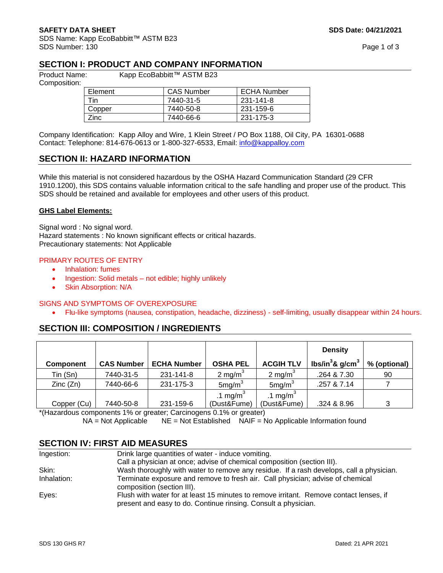SDS Name: Kapp EcoBabbitt™ ASTM B23 SDS Number: 130 Page 1 of 3

## **SECTION I: PRODUCT AND COMPANY INFORMATION**

Composition:

Product Name: Kapp EcoBabbitt™ ASTM B23

| Element | <b>CAS Number</b> | <b>ECHA Number</b> |  |
|---------|-------------------|--------------------|--|
| Tin     | 7440-31-5         | 231-141-8          |  |
| Copper  | 7440-50-8         | 231-159-6          |  |
| Zinc.   | 7440-66-6         | 231-175-3          |  |

Company Identification: Kapp Alloy and Wire, 1 Klein Street / PO Box 1188, Oil City, PA 16301-0688 Contact: Telephone: 814-676-0613 or 1-800-327-6533, Email: [info@kappalloy.com](mailto:info@kappalloy.com)

## **SECTION II: HAZARD INFORMATION**

While this material is not considered hazardous by the OSHA Hazard Communication Standard (29 CFR 1910.1200), this SDS contains valuable information critical to the safe handling and proper use of the product. This SDS should be retained and available for employees and other users of this product.

#### **GHS Label Elements:**

Signal word : No signal word. Hazard statements : No known significant effects or critical hazards. Precautionary statements: Not Applicable

#### PRIMARY ROUTES OF ENTRY

- Inhalation: fumes
- Ingestion: Solid metals not edible; highly unlikely
- Skin Absorption: N/A

#### SIGNS AND SYMPTOMS OF OVEREXPOSURE

• Flu-like symptoms (nausea, constipation, headache, dizziness) - self-limiting, usually disappear within 24 hours.

# **SECTION III: COMPOSITION / INGREDIENTS**

|                  |                   |                    |                      |                      | <b>Density</b>                  |              |
|------------------|-------------------|--------------------|----------------------|----------------------|---------------------------------|--------------|
| <b>Component</b> | <b>CAS Number</b> | <b>ECHA Number</b> | <b>OSHA PEL</b>      | <b>ACGIH TLV</b>     | lbs/in ${}^{3}$ & g/cm ${}^{3}$ | % (optional) |
| Tin (Sn)         | 7440-31-5         | 231-141-8          | 2 mg/m <sup>3</sup>  | 2 mg/m <sup>3</sup>  | .264 & 7.30                     | 90           |
| Zinc(Zn)         | 7440-66-6         | 231-175-3          | 5mg/m <sup>3</sup>   | 5mg/m <sup>3</sup>   | .257 & 7.14                     |              |
|                  |                   |                    | .1 mg/m <sup>3</sup> | .1 mg/m <sup>3</sup> |                                 |              |
| Copper (Cu)      | 7440-50-8         | 231-159-6          | (Dust&Fume)          | (Dust&Fume)          | .324 & 8.96                     | 3            |

\*(Hazardous components 1% or greater; Carcinogens 0.1% or greater)  $NA = Not$  Applicable  $NE = Not$  Established  $NAIF = No$  Applicable Information found

# **SECTION IV: FIRST AID MEASURES**

| Ingestion:  | Drink large quantities of water - induce vomiting.                                                                                                       |
|-------------|----------------------------------------------------------------------------------------------------------------------------------------------------------|
|             | Call a physician at once; advise of chemical composition (section III).                                                                                  |
| Skin:       | Wash thoroughly with water to remove any residue. If a rash develops, call a physician.                                                                  |
| Inhalation: | Terminate exposure and remove to fresh air. Call physician; advise of chemical<br>composition (section III).                                             |
| Eyes:       | Flush with water for at least 15 minutes to remove irritant. Remove contact lenses, if<br>present and easy to do. Continue rinsing. Consult a physician. |
|             |                                                                                                                                                          |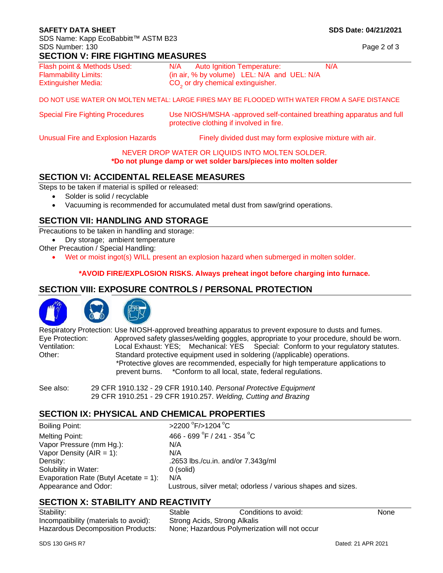#### **SAFETY DATA SHEET SOLUTION SDS Date: 04/21/2021**

SDS Name: Kapp EcoBabbitt™ ASTM B23 SDS Number: 130 Page 2 of 3

## **SECTION V: FIRE FIGHTING MEASURES**

| Flash point & Methods Used: | <b>Auto Ignition Temperature:</b><br>N/A      | N/A |
|-----------------------------|-----------------------------------------------|-----|
| <b>Flammability Limits:</b> | (in air, % by volume) LEL: N/A and UEL: N/A   |     |
| <b>Extinguisher Media:</b>  | CO <sub>2</sub> or dry chemical extinguisher. |     |

DO NOT USE WATER ON MOLTEN METAL: LARGE FIRES MAY BE FLOODED WITH WATER FROM A SAFE DISTANCE

| <b>Special Fire Fighting Procedures</b> | Use NIOSH/MSHA -approved self-contained breathing apparatus and full<br>protective clothing if involved in fire. |
|-----------------------------------------|------------------------------------------------------------------------------------------------------------------|
|-----------------------------------------|------------------------------------------------------------------------------------------------------------------|

Unusual Fire and Explosion Hazards **Finely divided dust may form explosive mixture with air.** 

#### NEVER DROP WATER OR LIQUIDS INTO MOLTEN SOLDER.

#### **\*Do not plunge damp or wet solder bars/pieces into molten solder**

# **SECTION VI: ACCIDENTAL RELEASE MEASURES**

Steps to be taken if material is spilled or released:

- Solder is solid / recyclable
- Vacuuming is recommended for accumulated metal dust from saw/grind operations.

# **SECTION VII: HANDLING AND STORAGE**

Precautions to be taken in handling and storage:

• Dry storage; ambient temperature

- Other Precaution / Special Handling:
	- Wet or moist ingot(s) WILL present an explosion hazard when submerged in molten solder.

#### **\*AVOID FIRE/EXPLOSION RISKS. Always preheat ingot before charging into furnace.**

# **SECTION VIII: EXPOSURE CONTROLS / PERSONAL PROTECTION**





Respiratory Protection: Use NIOSH-approved breathing apparatus to prevent exposure to dusts and fumes. Eye Protection: Approved safety glasses/welding goggles, appropriate to your procedure, should be worn.<br>Ventilation: Jocal Exhaust: YES: Mechanical: YES: Special: Conform to your requilatory statutes Local Exhaust: YES; Mechanical: YES Special: Conform to your regulatory statutes. Other: Standard protective equipment used in soldering (/applicable) operations. \*Protective gloves are recommended, especially for high temperature applications to prevent burns. \*Conform to all local, state, federal regulations.

See also: 29 CFR 1910.132 - 29 CFR 1910.140. *Personal Protective Equipment* 29 CFR 1910.251 - 29 CFR 1910.257. *Welding, Cutting and Brazing*

## **SECTION IX: PHYSICAL AND CHEMICAL PROPERTIES**

Boiling Point: Melting Point: Vapor Pressure (mm Hg.): N/A Vapor Density  $(AIR = 1)$ :  $N/A$ Density: .2653 lbs./cu.in. and/or 7.343g/ml Solubility in Water: 0 (solid) Evaporation Rate (Butyl Acetate = 1): N/A Appearance and Odor: Lustrous, silver metal; odorless / various shapes and sizes.

 $F$ />1204 $^{\circ}$ C  $F / 241 - 354 °C$ 

# **SECTION X: STABILITY AND REACTIVITY**

Incompatibility (materials to avoid): Strong Acids, Strong Alkalis

Stability: Stable Conditions to avoid: None None Hazardous Decomposition Products: None; Hazardous Polymerization will not occur

SDS 130 GHS R7 Dated: 21 APR 2021